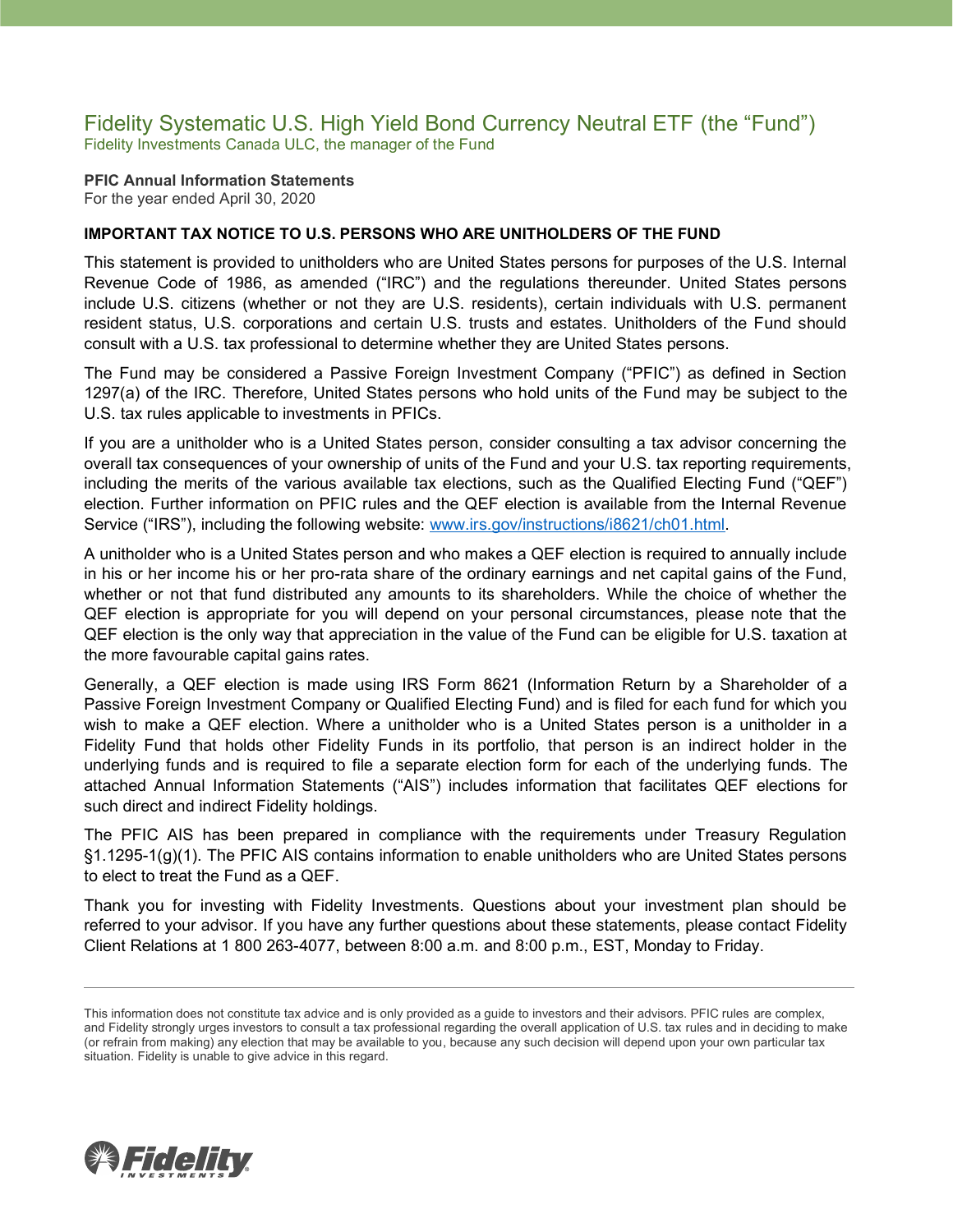### Fidelity Systematic U.S. High Yield Bond Currency Neutral ETF (the "Fund") Fidelity Investments Canada ULC, the manager of the Fund

**PFIC Annual Information Statements** For the year ended April 30, 2020

### **IMPORTANT TAX NOTICE TO U.S. PERSONS WHO ARE UNITHOLDERS OF THE FUND**

This statement is provided to unitholders who are United States persons for purposes of the U.S. Internal Revenue Code of 1986, as amended ("IRC") and the regulations thereunder. United States persons include U.S. citizens (whether or not they are U.S. residents), certain individuals with U.S. permanent resident status, U.S. corporations and certain U.S. trusts and estates. Unitholders of the Fund should consult with a U.S. tax professional to determine whether they are United States persons.

The Fund may be considered a Passive Foreign Investment Company ("PFIC") as defined in Section 1297(a) of the IRC. Therefore, United States persons who hold units of the Fund may be subject to the U.S. tax rules applicable to investments in PFICs.

If you are a unitholder who is a United States person, consider consulting a tax advisor concerning the overall tax consequences of your ownership of units of the Fund and your U.S. tax reporting requirements, including the merits of the various available tax elections, such as the Qualified Electing Fund ("QEF") election. Further information on PFIC rules and the QEF election is available from the Internal Revenue Service ("IRS"), including the following website: [www.irs.gov/instructions/i8621/ch01.html.](http://www.irs.gov/instructions/i8621/ch01.html)

A unitholder who is a United States person and who makes a QEF election is required to annually include in his or her income his or her pro-rata share of the ordinary earnings and net capital gains of the Fund, whether or not that fund distributed any amounts to its shareholders. While the choice of whether the QEF election is appropriate for you will depend on your personal circumstances, please note that the QEF election is the only way that appreciation in the value of the Fund can be eligible for U.S. taxation at the more favourable capital gains rates.

Generally, a QEF election is made using IRS Form 8621 (Information Return by a Shareholder of a Passive Foreign Investment Company or Qualified Electing Fund) and is filed for each fund for which you wish to make a QEF election. Where a unitholder who is a United States person is a unitholder in a Fidelity Fund that holds other Fidelity Funds in its portfolio, that person is an indirect holder in the underlying funds and is required to file a separate election form for each of the underlying funds. The attached Annual Information Statements ("AIS") includes information that facilitates QEF elections for such direct and indirect Fidelity holdings.

The PFIC AIS has been prepared in compliance with the requirements under Treasury Regulation §1.1295-1(g)(1). The PFIC AIS contains information to enable unitholders who are United States persons to elect to treat the Fund as a QEF.

Thank you for investing with Fidelity Investments. Questions about your investment plan should be referred to your advisor. If you have any further questions about these statements, please contact Fidelity Client Relations at 1 800 263-4077, between 8:00 a.m. and 8:00 p.m., EST, Monday to Friday.



This information does not constitute tax advice and is only provided as a guide to investors and their advisors. PFIC rules are complex, and Fidelity strongly urges investors to consult a tax professional regarding the overall application of U.S. tax rules and in deciding to make (or refrain from making) any election that may be available to you, because any such decision will depend upon your own particular tax situation. Fidelity is unable to give advice in this regard.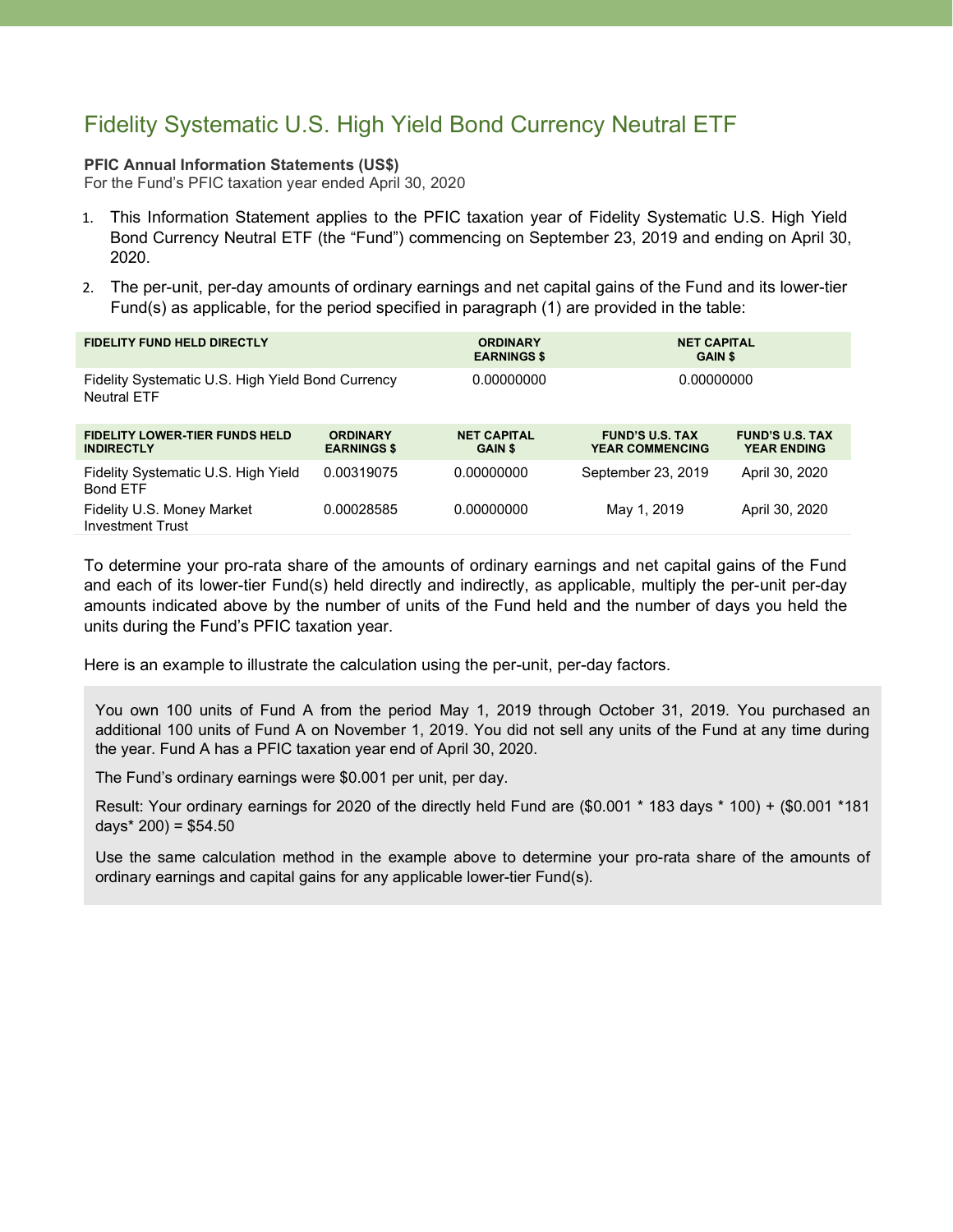# Fidelity Systematic U.S. High Yield Bond Currency Neutral ETF

#### **PFIC Annual Information Statements (US\$)**

For the Fund's PFIC taxation year ended April 30, 2020

- 1. This Information Statement applies to the PFIC taxation year of Fidelity Systematic U.S. High Yield Bond Currency Neutral ETF (the "Fund") commencing on September 23, 2019 and ending on April 30, 2020.
- 2. The per-unit, per-day amounts of ordinary earnings and net capital gains of the Fund and its lower-tier Fund(s) as applicable, for the period specified in paragraph (1) are provided in the table:

| <b>FIDELITY FUND HELD DIRECTLY</b>                                      |                                       | <b>ORDINARY</b><br><b>EARNINGS \$</b> | <b>NET CAPITAL</b><br><b>GAIN \$</b>             |                                              |
|-------------------------------------------------------------------------|---------------------------------------|---------------------------------------|--------------------------------------------------|----------------------------------------------|
| Fidelity Systematic U.S. High Yield Bond Currency<br><b>Neutral FTF</b> |                                       | 0.00000000                            | 0.00000000                                       |                                              |
| <b>FIDELITY LOWER-TIER FUNDS HELD</b><br><b>INDIRECTLY</b>              | <b>ORDINARY</b><br><b>EARNINGS \$</b> | <b>NET CAPITAL</b><br><b>GAIN \$</b>  | <b>FUND'S U.S. TAX</b><br><b>YEAR COMMENCING</b> | <b>FUND'S U.S. TAX</b><br><b>YEAR ENDING</b> |
| Fidelity Systematic U.S. High Yield<br><b>Bond ETF</b>                  | 0.00319075                            | 0.00000000                            | September 23, 2019                               | April 30, 2020                               |
| Fidelity U.S. Money Market<br><b>Investment Trust</b>                   | 0.00028585                            | 0.00000000                            | May 1, 2019                                      | April 30, 2020                               |

To determine your pro-rata share of the amounts of ordinary earnings and net capital gains of the Fund and each of its lower-tier Fund(s) held directly and indirectly, as applicable, multiply the per-unit per-day amounts indicated above by the number of units of the Fund held and the number of days you held the units during the Fund's PFIC taxation year.

Here is an example to illustrate the calculation using the per-unit, per-day factors.

You own 100 units of Fund A from the period May 1, 2019 through October 31, 2019. You purchased an additional 100 units of Fund A on November 1, 2019. You did not sell any units of the Fund at any time during the year. Fund A has a PFIC taxation year end of April 30, 2020.

The Fund's ordinary earnings were \$0.001 per unit, per day.

Result: Your ordinary earnings for 2020 of the directly held Fund are (\$0.001 \* 183 days \* 100) + (\$0.001 \*181 days $*$  200) = \$54.50

Use the same calculation method in the example above to determine your pro-rata share of the amounts of ordinary earnings and capital gains for any applicable lower-tier Fund(s).